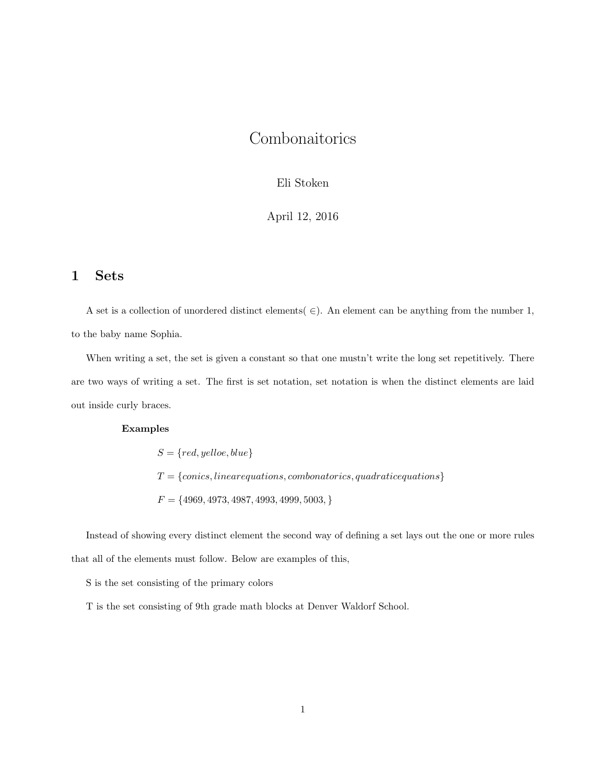## Combonaitorics

#### Eli Stoken

#### April 12, 2016

## 1 Sets

A set is a collection of unordered distinct elements( $\in$ ). An element can be anything from the number 1, to the baby name Sophia.

When writing a set, the set is given a constant so that one must n't write the long set repetitively. There are two ways of writing a set. The first is set notation, set notation is when the distinct elements are laid out inside curly braces.

#### Examples

 $S = \{red, yellow, blue\}$  $T = \{conics, linear equations, combonatorics, quadratic equations\}$  $F = \{4969, 4973, 4987, 4993, 4999, 5003, \}$ 

Instead of showing every distinct element the second way of defining a set lays out the one or more rules that all of the elements must follow. Below are examples of this,

S is the set consisting of the primary colors

T is the set consisting of 9th grade math blocks at Denver Waldorf School.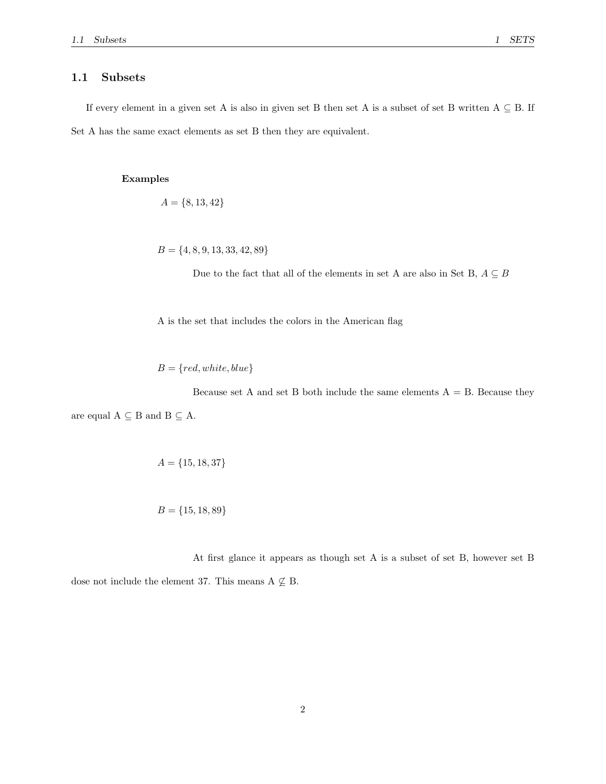#### 1.1 Subsets

If every element in a given set A is also in given set B then set A is a subset of set B written  $A \subseteq B$ . If Set A has the same exact elements as set B then they are equivalent.

#### Examples

$$
A = \{8, 13, 42\}
$$

 $B = \{4, 8, 9, 13, 33, 42, 89\}$ 

Due to the fact that all of the elements in set A are also in Set B,  $A \subseteq B$ 

A is the set that includes the colors in the American flag

 $B = \{red, white, blue\}$ 

Because set A and set B both include the same elements  $A = B$ . Because they are equal  $A \subseteq B$  and  $B \subseteq A$ .

$$
A = \{15, 18, 37\}
$$

$$
B = \{15, 18, 89\}
$$

At first glance it appears as though set A is a subset of set B, however set B

dose not include the element 37. This means  $A \nsubseteq B$ .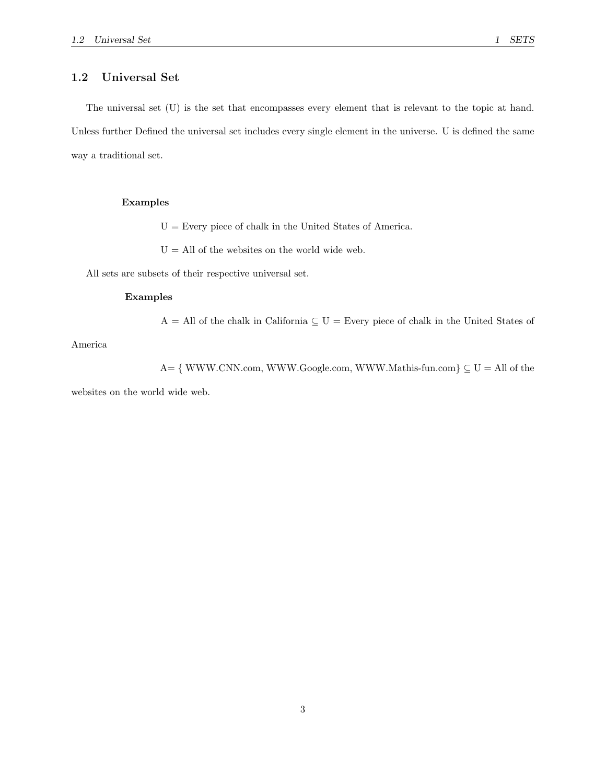## 1.2 Universal Set

The universal set (U) is the set that encompasses every element that is relevant to the topic at hand. Unless further Defined the universal set includes every single element in the universe. U is defined the same way a traditional set.

#### Examples

 $U =$  Every piece of chalk in the United States of America.

 $U =$  All of the websites on the world wide web.

All sets are subsets of their respective universal set.

#### Examples

 $A = All$  of the chalk in California  $\subseteq U =$  Every piece of chalk in the United States of

America

A= { WWW.CNN.com, WWW.Google.com, WWW.Mathis-fun.com}  $\subseteq U = All$  of the

websites on the world wide web.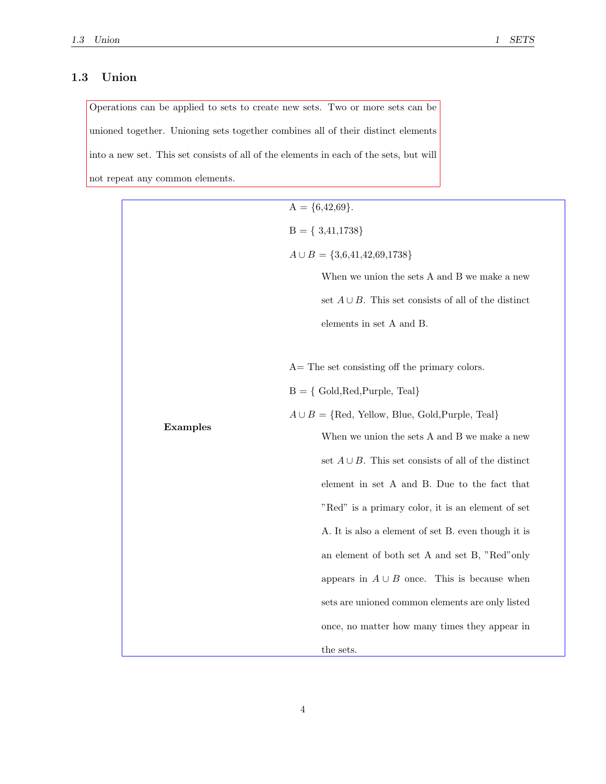## 1.3 Union

Operations can be applied to sets to create new sets. Two or more sets can be unioned together. Unioning sets together combines all of their distinct elements into a new set. This set consists of all of the elements in each of the sets, but will not repeat any common elements.

|                 | $A = \{6,42,69\}.$                                        |
|-----------------|-----------------------------------------------------------|
|                 | $B = \{ 3,41,1738 \}$                                     |
|                 | $A \cup B = \{3,6,41,42,69,1738\}$                        |
|                 | When we union the sets A and B we make a new              |
|                 | set $A \cup B$ . This set consists of all of the distinct |
|                 | elements in set A and B.                                  |
|                 |                                                           |
| <b>Examples</b> | $A=$ The set consisting off the primary colors.           |
|                 | $B = \{ Gold, Red, Purple, Teal\}$                        |
|                 | $A \cup B = \{Red, Yellow, Blue, Gold,purple, Teal\}$     |
|                 | When we union the sets A and B we make a new              |
|                 | set $A \cup B$ . This set consists of all of the distinct |
|                 | element in set A and B. Due to the fact that              |
|                 | "Red" is a primary color, it is an element of set         |
|                 | A. It is also a element of set B. even though it is       |
|                 | an element of both set A and set B, "Red"only             |
|                 | appears in $A \cup B$ once. This is because when          |
|                 | sets are unioned common elements are only listed          |
|                 | once, no matter how many times they appear in             |
|                 | the sets.                                                 |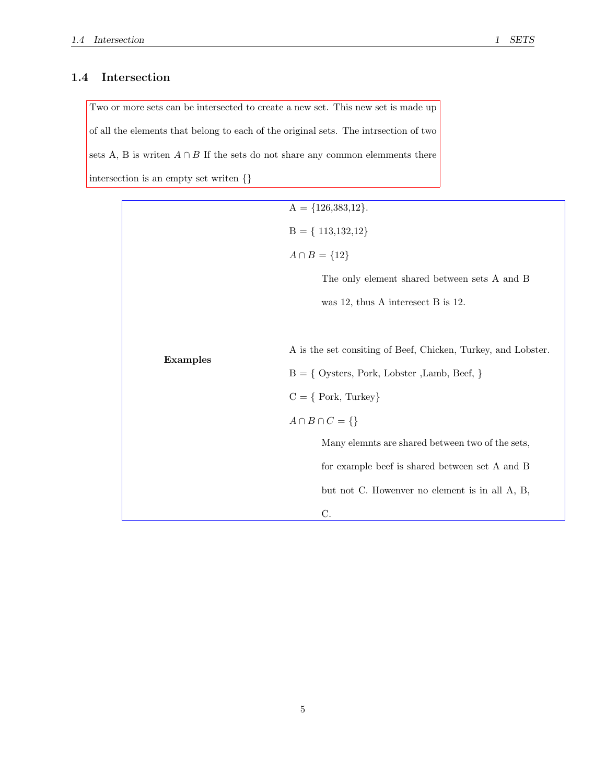## 1.4 Intersection

Two or more sets can be intersected to create a new set. This new set is made up of all the elements that belong to each of the original sets. The intrsection of two sets A, B is writen  $A \cap B$  If the sets do not share any common elemments there intersection is an empty set writen {}

|                 | $A = \{126,383,12\}.$                                         |
|-----------------|---------------------------------------------------------------|
|                 | $B = \{ 113, 132, 12 \}$                                      |
|                 | $A \cap B = \{12\}$                                           |
|                 | The only element shared between sets A and B                  |
|                 | was 12, thus A interesect B is 12.                            |
|                 |                                                               |
| <b>Examples</b> | A is the set consiting of Beef, Chicken, Turkey, and Lobster. |
|                 | $B = \{$ Oysters, Pork, Lobster , Lamb, Beef, $\}$            |
|                 | $C = \{ \text{Park}, \text{ Turkey} \}$                       |
|                 | $A \cap B \cap C = \{\}$                                      |
|                 | Many elemnts are shared between two of the sets,              |
|                 | for example beef is shared between set A and B                |
|                 | but not C. Howenver no element is in all A, B,                |
|                 | C.                                                            |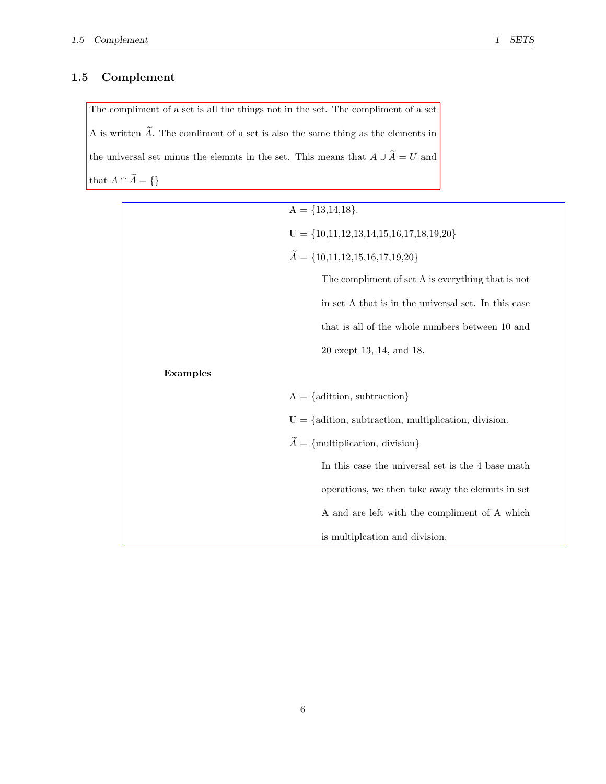## 1.5 Complement

The compliment of a set is all the things not in the set. The compliment of a set A is written  $\widetilde{A}$ . The comliment of a set is also the same thing as the elements in the universal set minus the elemnts in the set. This means that  $A \cup \widetilde{A} = U$  and that  $A \cap \widetilde{A} = \{\}$ 

|          | $A = \{13, 14, 18\}.$                                         |
|----------|---------------------------------------------------------------|
|          | $U = \{10, 11, 12, 13, 14, 15, 16, 17, 18, 19, 20\}$          |
|          | $\widetilde{A} = \{10,11,12,15,16,17,19,20\}$                 |
|          | The compliment of set A is everything that is not             |
|          | in set A that is in the universal set. In this case           |
|          | that is all of the whole numbers between 10 and               |
|          | 20 exept 13, 14, and 18.                                      |
| Examples |                                                               |
|          | $A = \{$ adittion, subtraction $\}$                           |
|          | $U = \{$ adition, subtraction, multiplication, division.      |
|          | $\widetilde{A} = \{\text{multiplication}, \text{division}\}\$ |
|          | In this case the universal set is the 4 base math             |
|          | operations, we then take away the elemnts in set              |
|          | A and are left with the compliment of A which                 |
|          | is multipleation and division.                                |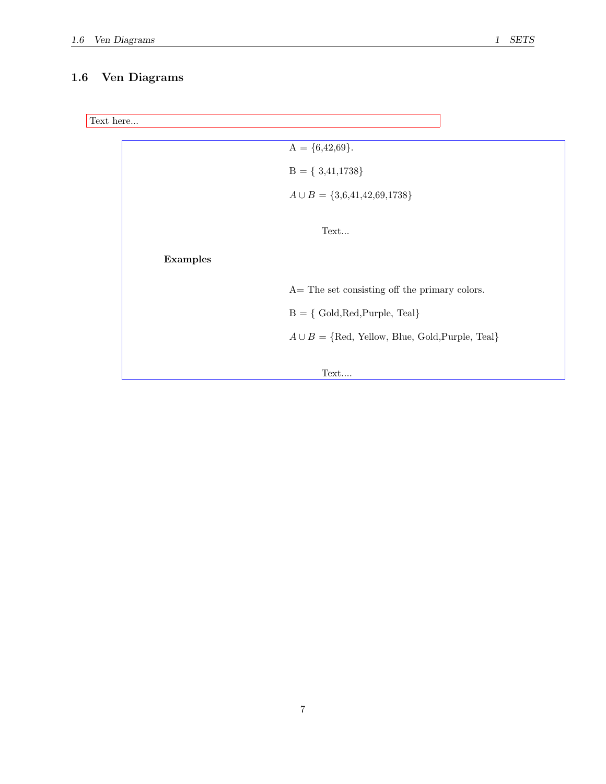## 1.6 Ven Diagrams

```
Text here...
```

|          | $A = \{6,42,69\}.$                                    |
|----------|-------------------------------------------------------|
|          | $B = \{3,41,1738\}$                                   |
|          | $A \cup B = \{3,6,41,42,69,1738\}$                    |
|          | Text                                                  |
| Examples |                                                       |
|          | $A =$ The set consisting off the primary colors.      |
|          | $B = \{ Gold, Red, Purple, Teal\}$                    |
|          | $A \cup B = \{Red, Yellow, Blue, Gold,purple, Real\}$ |
|          | Text                                                  |